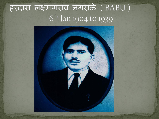## हरदास लक्ष्मणराव नगराळे (BABU) 6<sup>th</sup> Jan 1904 to 1939

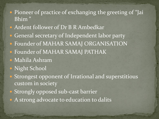- Pioneer of practice of exchanging the greeting of "Jai Bhim "
- Ardent follower of Dr B R Ambedkar
- **General secretary of Independent labor party**
- **Founder of MAHAR SAMAJ ORGANISATION**
- Founder of MAHAR SAMAJ PATHAK
- Mahila Ashram
- Night School
- Strongest opponent of Irrational and superstitious custom in society
- Strongly opposed sub-cast barrier
- A strong advocate to education to dalits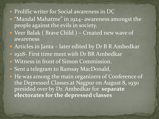- Prolific writer for Social awareness in DC
- "Mandal Mahatme" in 1924- awareness amongst the people against the evils in society.
- Veer Balak ( Brave Child ) Created new wave of awareness
- Articles in Janta later edited by Dr B R Ambedkar • 1928- First time meet with Dr BR Ambedkar Witness in front of Simon Commission. • Sent a telegram to Ramsay MacDonald, • He was among the main organizers of Conference of the Depressed Classes at Nagpur on August 8, 1930 presided over by Dr. Ambedkar for **separate electorates for the depressed classes**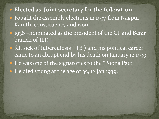## **Elected as Joint secretary for the federation**

- Fought the assembly elections in 1937 from Nagpur-Kamthi constituency and won
- 1938 –nominated as the president of the CP and Berar branch of ILP.
- fell sick of tuberculosis ( TB ) and his political career came to an abrupt end by his death on January 12,1939.
- He was one of the signatories to the "Poona Pact"
- He died young at the age of 35, 12 Jan 1939.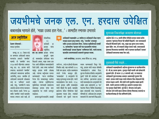# जयभीमचे जनक एल. एन. हरदास उपेक्षित

#### बाबासाहेब म्हणाले होते, 'माझा उजवा हात गेला...' : कामठीत स्मारक उभारावे

#### आज स्मृतिदिन

केवल जीवनतारे : सकाळ वृत्तसेवा

नागपूर, ता. ११ : देशात नव्हे तर जगभरात आंबेडकरी समाज परस्परांना आदराने 'जयभीम' म्हणतो. तो 'जयभीम' शब्द १९३७ साली पहिल्यांदा आमदार वाबू एल. एन. हरदास यांनी उष्वारला. कालांतराने 'जयभीम' आंबेडकरी समाजाच्या क्रांतीचा आरंभविंदू ठरला. जयभीम ही अविडकरी समाजाची ओळखच नव्हे तर 'अस्मिता' बनली आहे. परंतु, 'जयभीम'चे जनक असलेले हरदास यांच्या वाट्याला मात्र उपेक्षाच आली. गेल्या ७७ वर्षांत 'जयभीम' नावाने कामठीत स्मारक उभारता आले नाही, ही



शोकांतिका. १२ जानेवारी हा हरदास यांचा

स्मृतिदिन. एल. एन. इस्तास हरदास यांच्या मृत्यूची खबर

डॉ. वावासाहेब आंबेडकर यांना मिळाली असता, माझा उजवा हात गेला अशी प्रतिक्रिया बाबासाहेबांनी दिली होती. असा सच्चा कार्यकर्ता म्हणून हरदास यांची ओळख आहे. त्यांच्या कर्तृत्वाचा सन्मान करण्यासाठी भदन्त नागदीपंकर गेल्या दीड दशकापासन कार्यरत आहेत. त्यांच्या स्मृतिदिनाच्या पर्वसंघ्येला त्यांच्याशी साधलेल्या संवादातून हरदास यांचा सारा आयुष्याचा पट त्यांनी उलगडून दाखबला.

हरदास मूळचे कामठीचे. आजही



- भन्ते नागदीपंकर, सल्लागार, समता सैनिक दल, नागपुर.

त्यांचे घर...नव्हे तर झोपडी मोडक्या स्थितीत आहे. सहा जानेवारी १९०४ रोजी जन्म झाला. वडील लक्ष्मणराव नगरारे रेल्वेत कारकन होते. 'वाबासाहेब' हे अस्पृश्यांचे नेते म्हणून वृत्तपत्रातून वाचत होते. त्यांनी बाबासाहेबांना नेता मानले. १९२८ साली हरदास आणि बाबासाहेब यांची पहिली भेट झाली. कामठीत झालेल्या दलित परिषदेच्या बेळी मसळधार पाऊस होता. त्यावेळी स्टेजवरचे सारे पढारी स्वतःचा

बचाव करण्यासाठी निघन गेले. परंतु, हरदास यांनी वादळ संपेपर्यंत 'वावासाहेवां'ना आधार दिला. दुसऱ्या गोलमेज परिषदेत अस्पृश्यांचे पुढारी 'गांधी की आंबडेकर' असा वाद उपस्थित झाल्यानंतर हरदास यांनी वावासाहेव हेच अस्पृश्यांचे नेते आहेत अशा आशयाची ३२ 'तार' भारतभर फिरून विविध ठिकाणांहन इंग्रज प्रधानमंत्री यांना पाठवल्या. परिणामी डॉ. आंबेडकर हेच अस्पृश्य समाजाचे नेते असल्याचे सिद्ध झाले.

#### मुलाच्या निधनापेक्षा जनसागर मोलाचा

अकोला येथे १९२८ साली दलित परिषदेत हरदास भाषण करीत असताना 'मुलाच्या निधना'ची माहिती मिळाली. परत जाण्यासाठी लोकांनी विनवणी केली. परंतु, माझा एक मुलगा मरण पावला, दुसरा चेईल. पण, मी जनसागर सोडून जाणार नाही. समाजासाठी मुलाच्या निधनाच्या बातमीची पर्वा न करणारा कार्यकर्ता 'हरदास' आंबेडकरी समाजाचा सच्चा नेता आहे.

#### दुधासाठी पैसे नव्हते...

आंबेडकरी चळवळीसाठी अहोरात्र झुंजणाऱ्या या कार्यकर्त्याला टी. बी.चा आजार झाला. दुधातून गोळी घ्यावी असे डॉक्टरांनी सुचवले होते. ही घटना १९३९ सालची आहे. या लढवच्या आंबेडकरी पुढाऱ्याजवळ आमदार असतानाही दुधाला पैसे नव्हते. हरदास यांची व्यथा त्यांचे जीवलग मित्र शोंडबाजी मेंढे यांच्या लक्षात आली. मेंढे यांची पत्नी नुकतीच बाळंत झाली होती. त्यांनी आपल्या पत्नीचे द्ध आणले व हरदास यांना त्या दुधातून गोळी दिली. पुढे मेंढे हे धीरधम्म भन्ते झाले. धीरधम्म भन्ते यांनी सहज बोलता बोलता विनायक जामगडे या कार्यकर्त्याजवळ ही गोष्ट सांगितली होती.